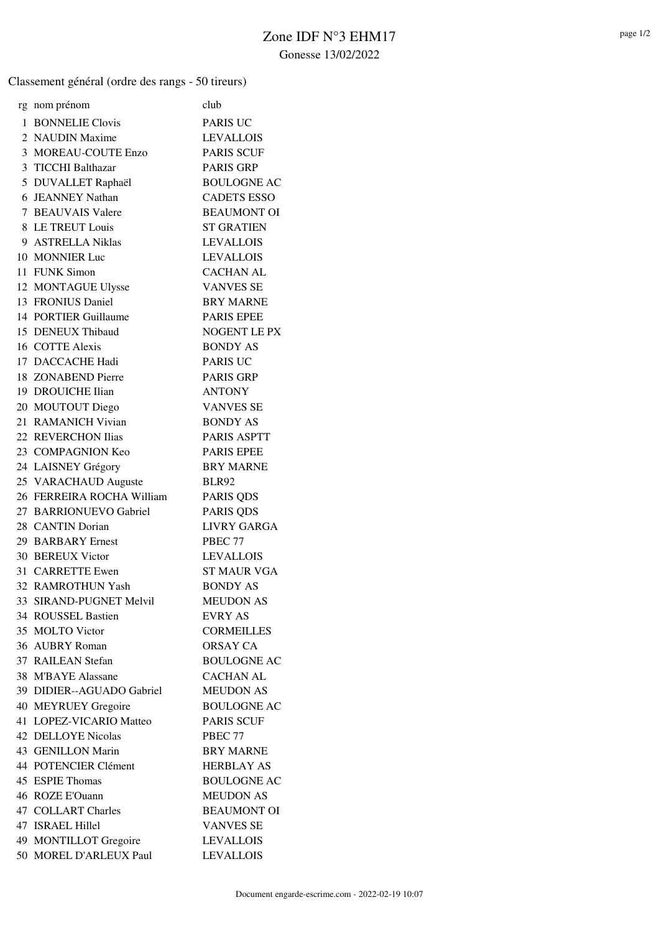Classement général (ordre des rangs - 50 tireurs)

| rg nom prénom             | club                |
|---------------------------|---------------------|
| 1 BONNELIE Clovis         | <b>PARIS UC</b>     |
| 2 NAUDIN Maxime           | <b>LEVALLOIS</b>    |
| 3 MOREAU-COUTE Enzo       | <b>PARIS SCUF</b>   |
| 3 TICCHI Balthazar        | <b>PARIS GRP</b>    |
| 5 DUVALLET Raphaël        | <b>BOULOGNE AC</b>  |
| 6 JEANNEY Nathan          | <b>CADETS ESSO</b>  |
| 7 BEAUVAIS Valere         | <b>BEAUMONT OI</b>  |
| 8 LE TREUT Louis          | <b>ST GRATIEN</b>   |
| 9 ASTRELLA Niklas         | <b>LEVALLOIS</b>    |
| 10 MONNIER Luc            | <b>LEVALLOIS</b>    |
| 11 FUNK Simon             | <b>CACHAN AL</b>    |
| 12 MONTAGUE Ulysse        | <b>VANVES SE</b>    |
| 13 FRONIUS Daniel         | <b>BRY MARNE</b>    |
| 14 PORTIER Guillaume      | <b>PARIS EPEE</b>   |
| 15 DENEUX Thibaud         | <b>NOGENT LE PX</b> |
| 16 COTTE Alexis           | <b>BONDY AS</b>     |
| 17 DACCACHE Hadi          | <b>PARIS UC</b>     |
| 18 ZONABEND Pierre        | <b>PARIS GRP</b>    |
| 19 DROUICHE Ilian         | <b>ANTONY</b>       |
| 20 MOUTOUT Diego          | <b>VANVES SE</b>    |
| 21 RAMANICH Vivian        | <b>BONDY AS</b>     |
| 22 REVERCHON Ilias        | <b>PARIS ASPTT</b>  |
| 23 COMPAGNION Keo         | <b>PARIS EPEE</b>   |
| 24 LAISNEY Grégory        | <b>BRY MARNE</b>    |
| 25 VARACHAUD Auguste      | BLR92               |
| 26 FERREIRA ROCHA William | <b>PARIS QDS</b>    |
| 27 BARRIONUEVO Gabriel    | PARIS QDS           |
| 28 CANTIN Dorian          | <b>LIVRY GARGA</b>  |
| 29 BARBARY Ernest         | PBEC 77             |
| 30 BEREUX Victor          | <b>LEVALLOIS</b>    |
| 31 CARRETTE Ewen          | <b>ST MAUR VGA</b>  |
| 32 RAMROTHUN Yash         | <b>BONDY AS</b>     |
| 33 SIRAND-PUGNET Melvil   | <b>MEUDON AS</b>    |
| 34 ROUSSEL Bastien        | EVRY AS             |
| 35 MOLTO Victor           | <b>CORMEILLES</b>   |
| 36 AUBRY Roman            | <b>ORSAY CA</b>     |
| 37 RAILEAN Stefan         | <b>BOULOGNE AC</b>  |
| 38 M'BAYE Alassane        | <b>CACHAN AL</b>    |
| 39 DIDIER--AGUADO Gabriel | <b>MEUDON AS</b>    |
| 40 MEYRUEY Gregoire       | <b>BOULOGNE AC</b>  |
| 41 LOPEZ-VICARIO Matteo   | <b>PARIS SCUF</b>   |
| <b>42 DELLOYE Nicolas</b> | PBEC 77             |
| 43 GENILLON Marin         | <b>BRY MARNE</b>    |
| 44 POTENCIER Clément      | <b>HERBLAY AS</b>   |
| 45 ESPIE Thomas           | <b>BOULOGNE AC</b>  |
| 46 ROZE E'Ouann           | <b>MEUDON AS</b>    |
| 47 COLLART Charles        | <b>BEAUMONT OI</b>  |
| 47 ISRAEL Hillel          | <b>VANVES SE</b>    |
| 49 MONTILLOT Gregoire     | <b>LEVALLOIS</b>    |
| 50 MOREL D'ARLEUX Paul    | <b>LEVALLOIS</b>    |